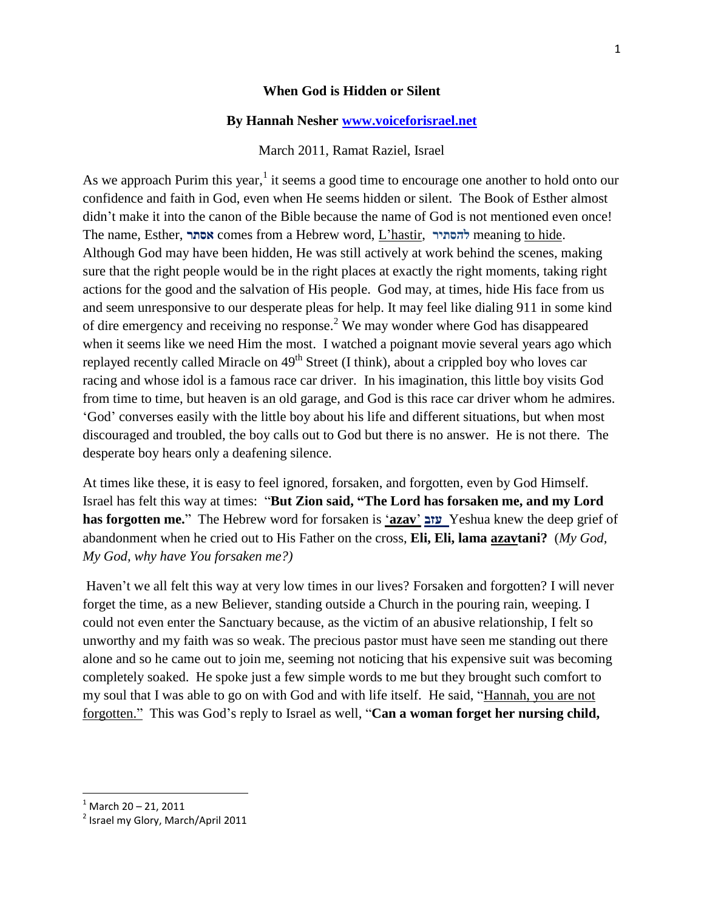#### **When God is Hidden or Silent**

### **By Hannah Nesher [www.voiceforisrael.net](http://www.voiceforisrael.net/)**

#### March 2011, Ramat Raziel, Israel

As we approach Purim this year,  $1$  it seems a good time to encourage one another to hold onto our confidence and faith in God, even when He seems hidden or silent. The Book of Esther almost didn't make it into the canon of the Bible because the name of God is not mentioned even once! The name, Esther, **אסתר** comes from a Hebrew word, L"hastir, **להסתיר** meaning to hide. Although God may have been hidden, He was still actively at work behind the scenes, making sure that the right people would be in the right places at exactly the right moments, taking right actions for the good and the salvation of His people. God may, at times, hide His face from us and seem unresponsive to our desperate pleas for help. It may feel like dialing 911 in some kind of dire emergency and receiving no response.<sup>2</sup> We may wonder where God has disappeared when it seems like we need Him the most. I watched a poignant movie several years ago which replayed recently called Miracle on 49<sup>th</sup> Street (I think), about a crippled boy who loves car racing and whose idol is a famous race car driver. In his imagination, this little boy visits God from time to time, but heaven is an old garage, and God is this race car driver whom he admires. "God" converses easily with the little boy about his life and different situations, but when most discouraged and troubled, the boy calls out to God but there is no answer. He is not there. The desperate boy hears only a deafening silence.

At times like these, it is easy to feel ignored, forsaken, and forgotten, even by God Himself. Israel has felt this way at times: "**But Zion said, "The Lord has forsaken me, and my Lord has forgotten me.**" The Hebrew word for forsaken is "**azav**" **עזב** Yeshua knew the deep grief of abandonment when he cried out to His Father on the cross, **Eli, Eli, lama azavtani?** (*My God, My God, why have You forsaken me?)*

Haven't we all felt this way at very low times in our lives? Forsaken and forgotten? I will never forget the time, as a new Believer, standing outside a Church in the pouring rain, weeping. I could not even enter the Sanctuary because, as the victim of an abusive relationship, I felt so unworthy and my faith was so weak. The precious pastor must have seen me standing out there alone and so he came out to join me, seeming not noticing that his expensive suit was becoming completely soaked. He spoke just a few simple words to me but they brought such comfort to my soul that I was able to go on with God and with life itself. He said, "Hannah, you are not forgotten." This was God's reply to Israel as well, "**Can a woman forget her nursing child,** 

l

 $1$  March 20 – 21, 2011

<sup>&</sup>lt;sup>2</sup> Israel my Glory, March/April 2011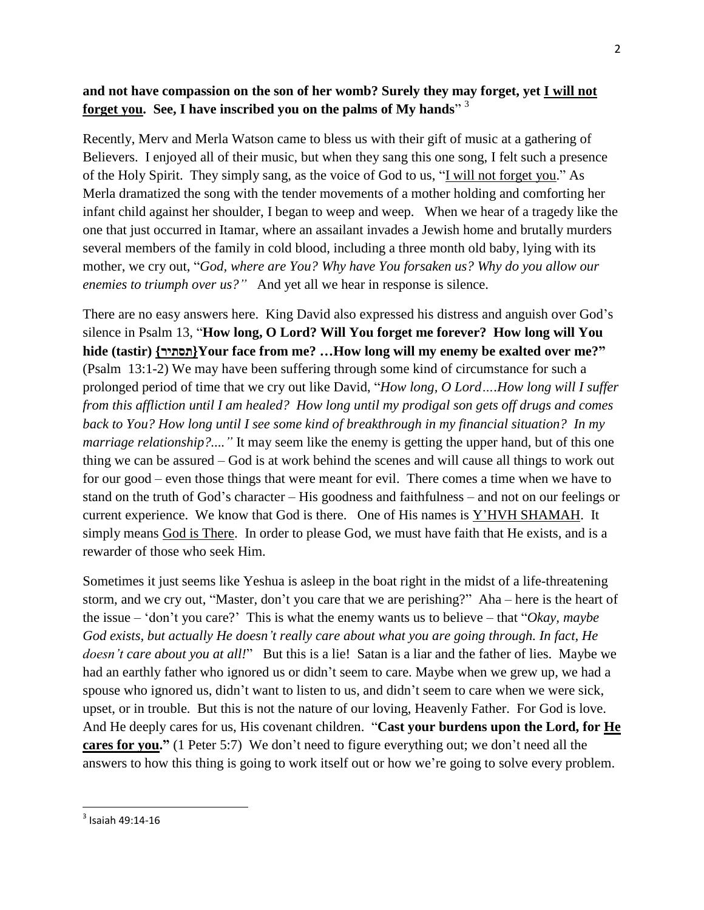## **and not have compassion on the son of her womb? Surely they may forget, yet I will not forget you. See, I have inscribed you on the palms of My hands**" 3

Recently, Merv and Merla Watson came to bless us with their gift of music at a gathering of Believers. I enjoyed all of their music, but when they sang this one song, I felt such a presence of the Holy Spirit. They simply sang, as the voice of God to us, "I will not forget you." As Merla dramatized the song with the tender movements of a mother holding and comforting her infant child against her shoulder, I began to weep and weep. When we hear of a tragedy like the one that just occurred in Itamar, where an assailant invades a Jewish home and brutally murders several members of the family in cold blood, including a three month old baby, lying with its mother, we cry out, "*God, where are You? Why have You forsaken us? Why do you allow our enemies to triumph over us?"* And yet all we hear in response is silence.

There are no easy answers here. King David also expressed his distress and anguish over God"s silence in Psalm 13, "**How long, O Lord? Will You forget me forever? How long will You hide (tastir) {תסתיר{Your face from me? …How long will my enemy be exalted over me?"** (Psalm 13:1-2) We may have been suffering through some kind of circumstance for such a prolonged period of time that we cry out like David, "*How long, O Lord….How long will I suffer from this affliction until I am healed? How long until my prodigal son gets off drugs and comes back to You? How long until I see some kind of breakthrough in my financial situation? In my marriage relationship?....* "It may seem like the enemy is getting the upper hand, but of this one thing we can be assured – God is at work behind the scenes and will cause all things to work out for our good – even those things that were meant for evil. There comes a time when we have to stand on the truth of God"s character – His goodness and faithfulness – and not on our feelings or current experience. We know that God is there. One of His names is Y"HVH SHAMAH. It simply means God is There. In order to please God, we must have faith that He exists, and is a rewarder of those who seek Him.

Sometimes it just seems like Yeshua is asleep in the boat right in the midst of a life-threatening storm, and we cry out, "Master, don"t you care that we are perishing?" Aha – here is the heart of the issue – "don"t you care?" This is what the enemy wants us to believe – that "*Okay, maybe God exists, but actually He doesn't really care about what you are going through. In fact, He doesn't care about you at all!*" But this is a lie! Satan is a liar and the father of lies. Maybe we had an earthly father who ignored us or didn't seem to care. Maybe when we grew up, we had a spouse who ignored us, didn"t want to listen to us, and didn"t seem to care when we were sick, upset, or in trouble. But this is not the nature of our loving, Heavenly Father. For God is love. And He deeply cares for us, His covenant children. "**Cast your burdens upon the Lord, for He cares for you."** (1 Peter 5:7) We don't need to figure everything out; we don't need all the answers to how this thing is going to work itself out or how we're going to solve every problem.

 $\overline{\phantom{a}}$ 

 $3$  Isaiah 49:14-16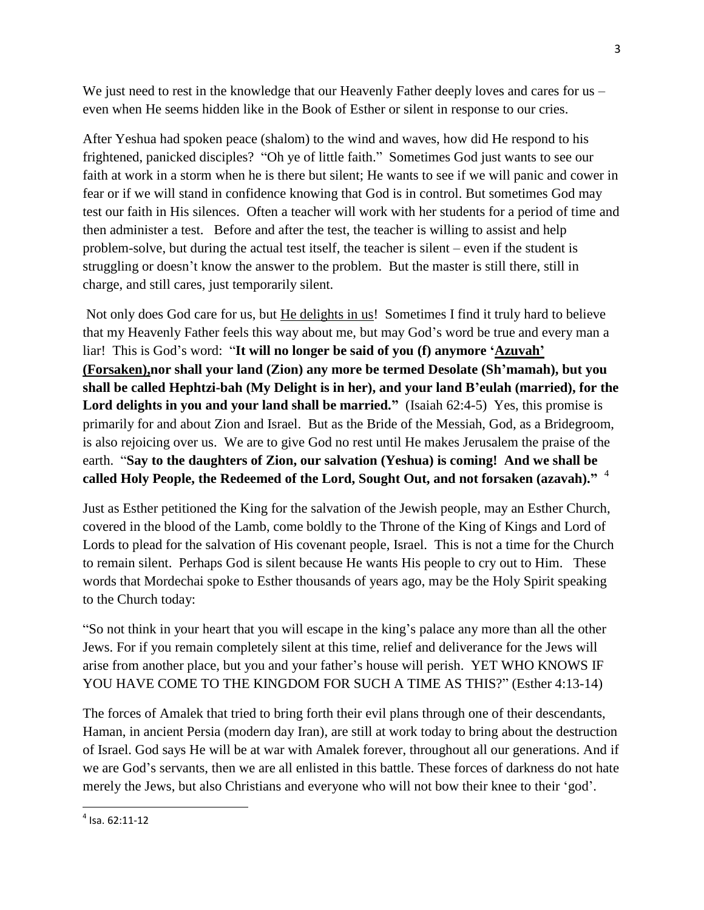We just need to rest in the knowledge that our Heavenly Father deeply loves and cares for us – even when He seems hidden like in the Book of Esther or silent in response to our cries.

After Yeshua had spoken peace (shalom) to the wind and waves, how did He respond to his frightened, panicked disciples? "Oh ye of little faith." Sometimes God just wants to see our faith at work in a storm when he is there but silent; He wants to see if we will panic and cower in fear or if we will stand in confidence knowing that God is in control. But sometimes God may test our faith in His silences. Often a teacher will work with her students for a period of time and then administer a test. Before and after the test, the teacher is willing to assist and help problem-solve, but during the actual test itself, the teacher is silent – even if the student is struggling or doesn"t know the answer to the problem. But the master is still there, still in charge, and still cares, just temporarily silent.

Not only does God care for us, but He delights in us! Sometimes I find it truly hard to believe that my Heavenly Father feels this way about me, but may God"s word be true and every man a liar! This is God"s word: "**It will no longer be said of you (f) anymore "Azuvah" (Forsaken),nor shall your land (Zion) any more be termed Desolate (Sh"mamah), but you shall be called Hephtzi-bah (My Delight is in her), and your land B"eulah (married), for the**  Lord delights in you and your land shall be married." (Isaiah 62:4-5) Yes, this promise is primarily for and about Zion and Israel. But as the Bride of the Messiah, God, as a Bridegroom, is also rejoicing over us. We are to give God no rest until He makes Jerusalem the praise of the earth. "**Say to the daughters of Zion, our salvation (Yeshua) is coming! And we shall be called Holy People, the Redeemed of the Lord, Sought Out, and not forsaken (azavah)."** 4

Just as Esther petitioned the King for the salvation of the Jewish people, may an Esther Church, covered in the blood of the Lamb, come boldly to the Throne of the King of Kings and Lord of Lords to plead for the salvation of His covenant people, Israel. This is not a time for the Church to remain silent. Perhaps God is silent because He wants His people to cry out to Him. These words that Mordechai spoke to Esther thousands of years ago, may be the Holy Spirit speaking to the Church today:

"So not think in your heart that you will escape in the king"s palace any more than all the other Jews. For if you remain completely silent at this time, relief and deliverance for the Jews will arise from another place, but you and your father"s house will perish. YET WHO KNOWS IF YOU HAVE COME TO THE KINGDOM FOR SUCH A TIME AS THIS?" (Esther 4:13-14)

The forces of Amalek that tried to bring forth their evil plans through one of their descendants, Haman, in ancient Persia (modern day Iran), are still at work today to bring about the destruction of Israel. God says He will be at war with Amalek forever, throughout all our generations. And if we are God"s servants, then we are all enlisted in this battle. These forces of darkness do not hate merely the Jews, but also Christians and everyone who will not bow their knee to their 'god'.

 $\overline{\phantom{a}}$ 

<sup>4</sup> Isa. 62:11-12